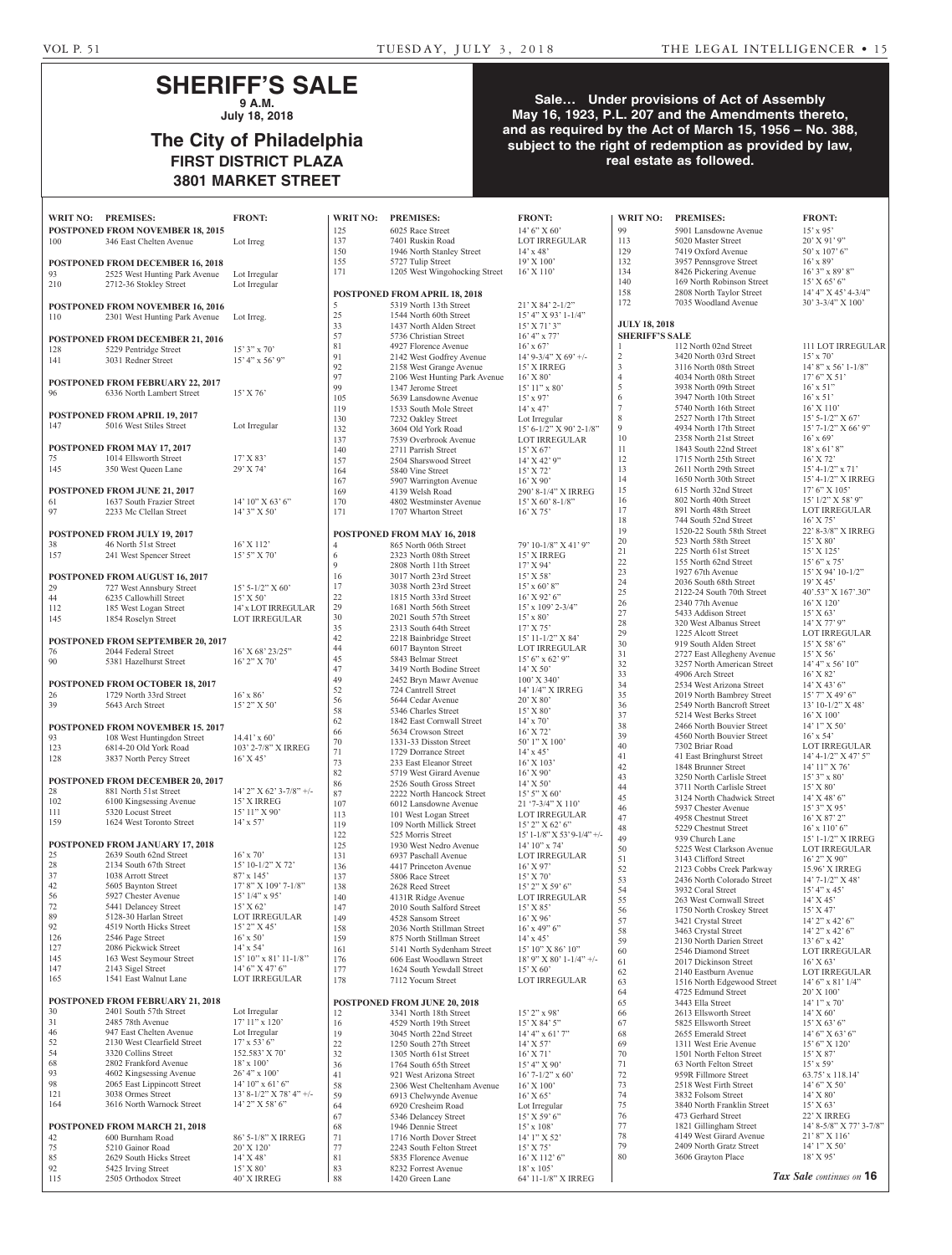# **SHERIFF'S SALE 9 A.M.**

**July 18, 2018**

# **The City of Philadelphia FIRST DISTRICT PLAZA 3801 MARKET STREET**

## **Sale… Under provisions of Act of Assembly May 16, 1923, P.L. 207 and the Amendments thereto, and as required by the Act of March 15, 1956 – No. 388, subject to the right of redemption as provided by law, real estate as followed.**

|                                                                  | WRIT NO: PREMISES:                                      | <b>FRONT:</b>                               | WRIT NO:       | <b>PREMISES:</b>                                        | <b>FRONT:</b>                                        | <b>WRIT NO:</b>                               | <b>PREMISES:</b>                                        | <b>FRONT:</b>                             |
|------------------------------------------------------------------|---------------------------------------------------------|---------------------------------------------|----------------|---------------------------------------------------------|------------------------------------------------------|-----------------------------------------------|---------------------------------------------------------|-------------------------------------------|
|                                                                  | <b>POSTPONED FROM NOVEMBER 18, 2015</b>                 |                                             | 125            | 6025 Race Street                                        | 14' 6'' X 60'                                        | 99                                            | 5901 Lansdowne Avenue                                   | $15'$ x 95'                               |
| 100                                                              | 346 East Chelten Avenue                                 | Lot Irreg                                   | 137            | 7401 Ruskin Road                                        | <b>LOT IRREGULAR</b>                                 | 113                                           | 5020 Master Street                                      | $20'$ X 91'                               |
|                                                                  |                                                         |                                             | 150            | 1946 North Stanley Street                               | $14' \times 48'$                                     | 129                                           | 7419 Oxford Avenue                                      | $50' \times 107'$                         |
|                                                                  | <b>POSTPONED FROM DECEMBER 16, 2018</b>                 |                                             | 155<br>171     | 5727 Tulip Street<br>1205 West Wingohocking Street      | 19' X 100'<br>$16'$ X $110'$                         | 132<br>134                                    | 3957 Pennsgrove Street<br>8426 Pickering Avenue         | $16'$ x 89'<br>$16'3''$ x 8               |
| 93<br>210                                                        | 2525 West Hunting Park Avenue<br>2712-36 Stokley Street | Lot Irregular<br>Lot Irregular              |                |                                                         |                                                      | 140                                           | 169 North Robinson Street                               | 15' X 65'                                 |
|                                                                  |                                                         |                                             |                | POSTPONED FROM APRIL 18, 2018                           |                                                      | 158                                           | 2808 North Taylor Street                                | 14' 4" X 4                                |
|                                                                  | <b>POSTPONED FROM NOVEMBER 16, 2016</b>                 |                                             | 5              | 5319 North 13th Street                                  | $21'$ X 84' 2-1/2"                                   | 172                                           | 7035 Woodland Avenue                                    | $30'3 - 3/4'$                             |
| 110                                                              | 2301 West Hunting Park Avenue                           | Lot Irreg.                                  | 25             | 1544 North 60th Street                                  | $15'$ 4" X 93' 1-1/4"                                |                                               |                                                         |                                           |
|                                                                  |                                                         |                                             | 33<br>57       | 1437 North Alden Street<br>5736 Christian Street        | $15'$ X 71' 3"<br>$16' 4''$ x 77'                    | <b>JULY 18, 2018</b><br><b>SHERIFF'S SALE</b> |                                                         |                                           |
|                                                                  | POSTPONED FROM DECEMBER 21, 2016                        |                                             | 81             | 4927 Florence Avenue                                    | $16'$ x 67'                                          | $\mathbf{1}$                                  | 112 North 02nd Street                                   | 111 LOT                                   |
| 128<br>141                                                       | 5229 Pentridge Street<br>3031 Redner Street             | $15'3''$ x 70'<br>15' 4" x 56' 9"           | 91             | 2142 West Godfrey Avenue                                | $14'$ 9-3/4" X 69' +/-                               | $\sqrt{2}$                                    | 3420 North 03rd Street                                  | $15'$ x 70'                               |
|                                                                  |                                                         |                                             | 92             | 2158 West Grange Avenue                                 | 15' X IRREG                                          | $\mathfrak{Z}$                                | 3116 North 08th Street                                  | $14'8''$ x 5                              |
|                                                                  | POSTPONED FROM FEBRUARY 22, 2017                        |                                             | 97<br>99       | 2106 West Hunting Park Avenue                           | $16'$ X $80'$                                        | $\overline{4}$<br>5                           | 4034 North 08th Street                                  | $17'6''$ X $\ddot{.}$                     |
| 96                                                               | 6336 North Lambert Street                               | $15'$ X 76'                                 | 105            | 1347 Jerome Street<br>5639 Lansdowne Avenue             | $15'11''$ x 80'<br>$15'$ x 97'                       | 6                                             | 3938 North 09th Street<br>3947 North 10th Street        | $16'$ x 51"<br>$16'$ x 51'                |
|                                                                  |                                                         |                                             | 119            | 1533 South Mole Street                                  | $14'$ x 47'                                          | $\overline{7}$                                | 5740 North 16th Street                                  | 16' X 110                                 |
|                                                                  | <b>POSTPONED FROM APRIL 19, 2017</b>                    |                                             | 130            | 7232 Oakley Street                                      | Lot Irregular                                        | 8                                             | 2527 North 17th Street                                  | $15'$ 5-1/2'                              |
| 147                                                              | 5016 West Stiles Street                                 | Lot Irregular                               | 132            | 3604 Old York Road                                      | $15' 6 - 1/2'' X 90' 2 - 1/8''$                      | 9                                             | 4934 North 17th Street                                  | $15'$ 7- $1/2'$                           |
|                                                                  | POSTPONED FROM MAY 17, 2017                             |                                             | 137            | 7539 Overbrook Avenue                                   | <b>LOT IRREGULAR</b>                                 | 10<br>11                                      | 2358 North 21st Street<br>1843 South 22nd Street        | $16'$ x 69'<br>$18'$ x 61'                |
| 75                                                               | 1014 Ellsworth Street                                   | 17' X 83'                                   | 140<br>157     | 2711 Parrish Street<br>2504 Sharswood Street            | 15' X 67'<br>$14'$ X 42' 9"                          | 12                                            | 1715 North 25th Street                                  | 16' X 72'                                 |
| 145                                                              | 350 West Queen Lane                                     | 29' X 74'                                   | 164            | 5840 Vine Street                                        | 15' X 72'                                            | 13                                            | 2611 North 29th Street                                  | $15' 4 - 1/2'$                            |
|                                                                  |                                                         |                                             | 167            | 5907 Warrington Avenue                                  | $16'$ X 90'                                          | 14                                            | 1650 North 30th Street                                  | $15' 4 - 1/2'$                            |
|                                                                  | POSTPONED FROM JUNE 21, 2017                            |                                             | 169            | 4139 Welsh Road                                         | 290' 8-1/4" X IRREG                                  | 15                                            | 615 North 32nd Street                                   | $17'6''$ X 1                              |
| 61                                                               | 1637 South Frazier Street                               | $14'$ 10" X 63' 6"                          | 170            | 4802 Westminster Avenue                                 | $15'$ X 60' 8-1/8"                                   | 16<br>17                                      | 802 North 40th Street<br>891 North 48th Street          | $15'$ $1/2''$ $\lambda$<br><b>LOT IRR</b> |
| 97                                                               | 2233 Mc Clellan Street                                  | 14' 3" X 50'                                | 171            | 1707 Wharton Street                                     | $16'$ X 75'                                          | 18                                            | 744 South 52nd Street                                   | $16'$ X 75'                               |
|                                                                  | POSTPONED FROM JULY 19, 2017                            |                                             |                | POSTPONED FROM MAY 16, 2018                             |                                                      | 19                                            | 1520-22 South 58th Street                               | $22' 8 - 3/8'$                            |
| 38                                                               | 46 North 51st Street                                    | $16'$ X $112'$                              | $\overline{4}$ | 865 North 06th Street                                   | 79' 10-1/8" X 41' 9"                                 | 20                                            | 523 North 58th Street                                   | $15'$ X 80'                               |
| 157                                                              | 241 West Spencer Street                                 | $15'5''$ X 70'                              | 6              | 2323 North 08th Street                                  | 15' X IRREG                                          | 21                                            | 225 North 61st Street                                   | 15' X 125                                 |
|                                                                  |                                                         |                                             | 9              | 2808 North 11th Street                                  | 17' X 94'                                            | $22\,$<br>23                                  | 155 North 62nd Street<br>1927 67th Avenue               | $15'6''$ x 7<br>$15'$ X 94'               |
|                                                                  | <b>POSTPONED FROM AUGUST 16, 2017</b>                   |                                             | 16             | 3017 North 23rd Street                                  | $15'$ X 58'                                          | 24                                            | 2036 South 68th Street                                  | 19' X 45'                                 |
| 29                                                               | 727 West Annsbury Street                                | $15'$ 5-1/2" X 60'                          | 17<br>22       | 3038 North 23rd Street                                  | $15' \times 60'$ 8"                                  | 25                                            | 2122-24 South 70th Street                               | $40^{\circ}.53"$ X                        |
| 44<br>112                                                        | 6235 Callowhill Street<br>185 West Logan Street         | 15' X 50'                                   | 29             | 1815 North 33rd Street<br>1681 North 56th Street        | $16'$ X 92' 6"<br>$15'$ x $109'$ 2-3/4"              | 26                                            | 2340 77th Avenue                                        | 16' X 120                                 |
| 145                                                              | 1854 Roselyn Street                                     | 14' x LOT IRREGULAR<br><b>LOT IRREGULAR</b> | 30             | 2021 South 57th Street                                  | $15' \times 80'$                                     | $27\,$                                        | 5433 Addison Street                                     | 15' X 63'                                 |
|                                                                  |                                                         |                                             | 35             | 2313 South 64th Street                                  | 17' X 75'                                            | 28                                            | 320 West Albanus Street                                 | $14'$ X 77'                               |
|                                                                  | POSTPONED FROM SEPTEMBER 20, 2017                       |                                             | 42             | 2218 Bainbridge Street                                  | 15' 11-1/2" X 84'                                    | 29<br>30                                      | 1225 Alcott Street<br>919 South Alden Street            | <b>LOT IRR</b><br>15' X 58'               |
| 76                                                               | 2044 Federal Street                                     | 16' X 68' 23/25"                            | 44             | 6017 Baynton Street                                     | LOT IRREGULAR                                        | 31                                            | 2727 East Allegheny Avenue                              | $15'$ X 56'                               |
| 90                                                               | 5381 Hazelhurst Street                                  | $16'$ 2" X 70'                              | 45<br>47       | 5843 Belmar Street<br>3419 North Bodine Street          | $15'6''$ x 62' 9"                                    | 32                                            | 3257 North American Street                              | $14' 4''$ x 5                             |
|                                                                  |                                                         |                                             | 49             | 2452 Bryn Mawr Avenue                                   | 14' X 50'<br>$100'$ X 340'                           | 33                                            | 4906 Arch Street                                        | $16'$ X 82                                |
|                                                                  | POSTPONED FROM OCTOBER 18, 2017                         |                                             | 52             | 724 Cantrell Street                                     | 14' 1/4" X IRREG                                     | 34                                            | 2534 West Arizona Street                                | $14'$ X 43 <sup><math>\cdot</math></sup>  |
| 26<br>39                                                         | 1729 North 33rd Street<br>5643 Arch Street              | $16'$ x $86'$<br>$15'$ 2" X 50'             | 56             | 5644 Cedar Avenue                                       | $20'$ X $80'$                                        | 35<br>36                                      | 2019 North Bambrey Street<br>2549 North Bancroft Street | $15'7''$ X 4<br>$13'10-1/2$               |
|                                                                  |                                                         |                                             | 58             | 5346 Charles Street                                     | $15'$ X $80'$                                        | 37                                            | 5214 West Berks Street                                  | 16' X 100                                 |
|                                                                  | <b>POSTPONED FROM NOVEMBER 15, 2017</b>                 |                                             | 62             | 1842 East Cornwall Street                               | $14'$ x 70'                                          | 38                                            | 2466 North Bouvier Street                               | $14'1''$ X $\ddot{.}$                     |
| 93                                                               | 108 West Huntingdon Street                              | $14.41' \times 60'$                         | 66<br>70       | 5634 Crowson Street<br>1331-33 Disston Street           | 16' X 72'<br>50' 1" X 100'                           | 39                                            | 4560 North Bouvier Street                               | $16'$ x 54'                               |
| 123                                                              | 6814-20 Old York Road                                   | 103' 2-7/8" X IRREG                         | 71             | 1729 Dorrance Street                                    | $14'$ x $45'$                                        | 40                                            | 7302 Briar Road                                         | <b>LOT IRR</b>                            |
| 128                                                              | 3837 North Percy Street                                 | $16'$ X 45'                                 | 73             | 233 East Eleanor Street                                 | $16'$ X $103'$                                       | 41                                            | 41 East Bringhurst Street                               | $14' 4 - 1/2'$                            |
|                                                                  |                                                         |                                             | 82             | 5719 West Girard Avenue                                 | $16'$ X $90'$                                        | 42<br>43                                      | 1848 Brunner Street<br>3250 North Carlisle Street       | $14'11''$ X<br>$15'3''$ x 8               |
|                                                                  | <b>POSTPONED FROM DECEMBER 20, 2017</b>                 |                                             | 86             | 2526 South Gross Street                                 | $14'$ X 50'                                          | 44                                            | 3711 North Carlisle Street                              | $15'$ X $80'$                             |
| 28<br>102                                                        | 881 North 51st Street<br>6100 Kingsessing Avenue        | $14'$ 2" X 62' 3-7/8" +/-<br>15' X IRREG    | 87             | 2222 North Hancock Street                               | $15'5''$ X 60'                                       | 45                                            | 3124 North Chadwick Street                              | $14'$ X 48'                               |
| 111                                                              | 5320 Locust Street                                      | $15'11''$ X 90'                             | 107<br>113     | 6012 Lansdowne Avenue<br>101 West Logan Street          | 21 '7-3/4" X 110'<br>LOT IRREGULAR                   | 46                                            | 5937 Chester Avenue                                     | 15'3'' X9                                 |
| 159                                                              | 1624 West Toronto Street                                | $14'$ x 57'                                 | 119            | 109 North Millick Street                                | $15'$ 2" X 62' 6"                                    | 47                                            | 4958 Chestnut Street                                    | $16'$ X $87'$                             |
|                                                                  |                                                         |                                             | 122            | 525 Morris Street                                       | $15' 1 - 1/8''$ X 53' 9-1/4" +/-                     | 48<br>49                                      | 5229 Chestnut Street<br>939 Church Lane                 | $16'$ x $110'$<br>$15' 1 - 1/2'$          |
|                                                                  | <b>POSTPONED FROM JANUARY 17, 2018</b>                  |                                             | 125            | 1930 West Nedro Avenue                                  | $14'$ 10" x 74"                                      | 50                                            | 5225 West Clarkson Avenue                               | <b>LOT IRR</b>                            |
| 25                                                               | 2639 South 62nd Street                                  | $16'$ x $70'$                               | 131            | 6937 Paschall Avenue                                    | <b>LOT IRREGULAR</b>                                 | 51                                            | 3143 Clifford Street                                    | $16'$ 2" X 9                              |
| $28\,$<br>37                                                     | 2134 South 67th Street<br>1038 Arrott Street            | 15' 10-1/2" X 72'<br>$87'$ x 145'           | 136            | 4417 Princeton Avenue                                   | 16' X 97'                                            | 52                                            | 2123 Cobbs Creek Parkway                                | 15.96' X 1                                |
| 42                                                               | 5605 Baynton Street                                     | $17'$ 8" X $109'$ 7- $1/8"$                 | 137<br>138     | 5806 Race Street<br>2628 Reed Street                    | 15' X 70'<br>$15'$ 2" X 59' 6"                       | 53                                            | 2436 North Colorado Street                              | $14'$ 7- $1/2'$                           |
| 56                                                               | 5927 Chester Avenue                                     | $15'$ $1/4''$ x $95'$                       | 140            | 4131R Ridge Avenue                                      | LOT IRREGULAR                                        | 54<br>55                                      | 3932 Coral Street<br>263 West Cornwall Street           | $15' 4''$ x 4<br>$14'$ X 45'              |
| 72                                                               | 5441 Delancey Street                                    | 15' X 62'                                   | 147            | 2010 South Salford Street                               | 15' X 85'                                            | 56                                            | 1750 North Croskey Street                               | 15' X 47'                                 |
| 89                                                               | 5128-30 Harlan Street                                   | LOT IRREGULAR                               | 149            | 4528 Sansom Street                                      | $16'$ X $96'$                                        | 57                                            | 3421 Crystal Street                                     | $14'$ 2" x 4                              |
| 92<br>126                                                        | 4519 North Hicks Street<br>2546 Page Street             | $15'$ 2" X 45'<br>$16'$ x 50'               | 158            | 2036 North Stillman Street                              | $16'$ x 49" $6"$                                     | 58                                            | 3463 Crystal Street                                     | $14'$ 2" x 4                              |
| 127                                                              | 2086 Pickwick Street                                    | $14'$ x 54'                                 | 159<br>161     | 875 North Stillman Street<br>5141 North Sydenham Street | $14'$ x 45'<br>15' 10" X 86' 10"                     | 59                                            | 2130 North Darien Street                                | $13'6''$ x 4                              |
| 145                                                              | 163 West Seymour Street                                 | 15' 10" x 81' 11-1/8"                       | 176            | 606 East Woodlawn Street                                | $18^\circ\,9^{\prime\prime}$ X $80^\circ$ 1-1/4" +/- | 60<br>61                                      | 2546 Diamond Street<br>2017 Dickinson Street            | <b>LOT IRR</b><br>$16'$ X 63'             |
| 147                                                              | 2143 Sigel Street                                       | $14'6''$ X 47' 6"                           | 177            | 1624 South Yewdall Street                               | 15' X 60'                                            | 62                                            | 2140 Eastburn Avenue                                    | LOT IRR                                   |
| 165                                                              | 1541 East Walnut Lane                                   | <b>LOT IRREGULAR</b>                        | 178            | 7112 Yocum Street                                       | <b>LOT IRREGULAR</b>                                 | 63                                            | 1516 North Edgewood Street                              | $14'6''$ x 8                              |
|                                                                  |                                                         |                                             |                |                                                         |                                                      | 64                                            | 4725 Edmund Street                                      | 20' X 100                                 |
| POSTPONED FROM FEBRUARY 21, 2018<br>30<br>2401 South 57th Street |                                                         |                                             |                | POSTPONED FROM JUNE 20, 2018                            |                                                      | 65                                            | 3443 Ella Street                                        | $14'1''$ x 7                              |
| 31                                                               | 2485 78th Avenue                                        | Lot Irregular<br>17' 11" x 120'             | 12<br>16       | 3341 North 18th Street<br>4529 North 19th Street        | $15'$ 2" x 98'<br>$15'$ X 84' 5"                     | 66<br>67                                      | 2613 Ellsworth Street<br>5825 Ellsworth Street          | $14'$ X 60'<br>15' X 63'                  |
| 46                                                               | 947 East Chelten Avenue                                 | Lot Irregular                               | 19             | 3045 North 22nd Street                                  | $14' 4''$ x 61'7"                                    | 68                                            | 2655 Emerald Street                                     | $14'6''$ X 6                              |
| 52                                                               | 2130 West Clearfield Street                             | $17'$ x 53' 6"                              | $22\,$         | 1250 South 27th Street                                  | 14' X 57'                                            | 69                                            | 1311 West Erie Avenue                                   | $15'6''$ X 1                              |
| 54                                                               | 3320 Collins Street                                     | 152.583' X 70'                              | 32             | 1305 North 61st Street                                  | $16'$ X 71'                                          | 70                                            | 1501 North Felton Street                                | 15' X 87'                                 |
| 68                                                               | 2802 Frankford Avenue                                   | $18' \times 100'$                           | 36             | 1764 South 65th Street                                  | 15' 4" X 90'                                         | 71                                            | 63 North Felton Street                                  | $15^{\circ}$ x $59^{\circ}$               |
| 93<br>$98\,$                                                     | 4602 Kingsessing Avenue<br>2065 East Lippincott Street  | $26'$ 4" x 100'<br>$14'$ 10" x 61' 6"       | 41             | 921 West Arizona Street                                 | $16'$ 7- $1/2''$ x 60'                               | 72<br>73                                      | 959R Fillmore Street<br>2518 West Firth Street          | $63.75'$ x 1                              |
| 121                                                              | 3038 Ormes Street                                       | $13' 8-1/2''$ X 78' 4" +/-                  | 58<br>59       | 2306 West Cheltenham Avenue<br>6913 Chelwynde Avenue    | $16'$ X $100'$<br>$16'$ X 65'                        | 74                                            | 3832 Folsom Street                                      | $14'6''$ X $\ddot{.}$<br>$14'$ X $80'$    |
| 164                                                              | 3616 North Warnock Street                               | 14' 2" X 58' 6"                             | 64             | 6920 Cresheim Road                                      | Lot Irregular                                        | 75                                            | 3840 North Franklin Street                              | 15' X 63'                                 |
|                                                                  |                                                         |                                             | 67             | 5346 Delancey Street                                    | $15'$ X 59' 6"                                       | 76                                            | 473 Gerhard Street                                      | <b>22' X IRF</b>                          |
|                                                                  | POSTPONED FROM MARCH 21, 2018                           |                                             | 68             | 1946 Dennie Street                                      | $15' \times 108'$                                    | 77                                            | 1821 Gillingham Street                                  | $14'$ 8-5/8                               |
| 42                                                               | 600 Burnham Road                                        | 86' 5-1/8" X IRREG                          | 71             | 1716 North Dover Street                                 | 14' 1" X 52'                                         | 78<br>79                                      | 4149 West Girard Avenue<br>2409 North Gratz Street      | $21'8''$ X 1                              |
| 75<br>85                                                         | 5210 Gainor Road<br>2629 South Hicks Street             | 20' X 120'<br>$14'$ X 48'                   | 77<br>81       | 2243 South Felton Street<br>5835 Florence Avenue        | 15' X 75'<br>$16'$ X $112'$ 6"                       | 80                                            | 3606 Grayton Place                                      | $14'1''$ X $\ddot{.}$<br>18'X 95'         |
| 92                                                               | 5425 Irving Street                                      | $15'$ X $80'$                               | 83             | 8232 Forrest Avenue                                     | $18' \times 105'$                                    |                                               |                                                         |                                           |
| 115                                                              | 2505 Orthodox Street                                    | 40' X IRREG                                 | 88             | 1420 Green Lane                                         | 64' 11-1/8" X IRREG                                  |                                               |                                                         | Tax Sale contin                           |

| WRIT NO:   | <b>PREMISES:</b>                                              | <b>FRONT:</b>                                       |
|------------|---------------------------------------------------------------|-----------------------------------------------------|
| 125        | 6025 Race Street                                              | $14'6''$ X 60'                                      |
| 137        | 7401 Ruskin Road                                              | LOT IRREGULAR                                       |
| 150        | 1946 North Stanley Street                                     | $14'$ x 48'                                         |
| 155        | 5727 Tulip Street                                             | 19'X100'                                            |
| 171        | 1205 West Wingohocking Street                                 | $16'$ X $110'$                                      |
|            | POSTPONED FROM APRIL 18, 2018                                 |                                                     |
| 5          | 5319 North 13th Street                                        | 21' X 84' 2-1/2"                                    |
| 25         | 1544 North 60th Street                                        | 15' 4" X 93' 1-1/4"                                 |
| 33         | 1437 North Alden Street                                       | 15' X 71' 3"                                        |
| 57         | 5736 Christian Street                                         | $16' 4''$ x 77'                                     |
| 81         | 4927 Florence Avenue                                          | $16'$ x 67'                                         |
| 91         | 2142 West Godfrey Avenue                                      | $14'$ 9-3/4" X 69' +/-                              |
| 92         | 2158 West Grange Avenue                                       | 15' X IRREG                                         |
| 97<br>99   | 2106 West Hunting Park Avenue<br>1347 Jerome Street           | $16'$ X $80'$<br>$15'11''$ x 80'                    |
| 105        | 5639 Lansdowne Avenue                                         | $15'$ x 97'                                         |
| 119        | 1533 South Mole Street                                        | $14'$ x 47'                                         |
| 130        | 7232 Oakley Street                                            | Lot Irregular                                       |
| 132        | 3604 Old York Road                                            | $15' 6 - 1/2''$ X 90' 2-1/8"                        |
| 137        | 7539 Overbrook Avenue                                         | LOT IRREGULAR                                       |
| 140        | 2711 Parrish Street                                           | 15' X 67'                                           |
| 157        | 2504 Sharswood Street                                         | $14'$ X $42'$ 9"                                    |
| 164<br>167 | 5840 Vine Street<br>5907 Warrington Avenue                    | $15'$ X 72'<br>$16'$ X 90'                          |
| 169        | 4139 Welsh Road                                               | 290' 8-1/4" X IRREG                                 |
| 170        | 4802 Westminster Avenue                                       | $15'$ X 60' 8-1/8"                                  |
| 171        | 1707 Wharton Street                                           | $16'$ X 75'                                         |
|            |                                                               |                                                     |
|            | POSTPONED FROM MAY 16, 2018                                   |                                                     |
| 4          | 865 North 06th Street                                         | 79' 10-1/8" X 41' 9"                                |
| 6<br>9     | 2323 North 08th Street                                        | 15' X IRREG                                         |
| 16         | 2808 North 11th Street<br>3017 North 23rd Street              | 17' X 94'<br>$15'$ X 58'                            |
| 17         | 3038 North 23rd Street                                        | $15'$ x 60' 8"                                      |
| 22         | 1815 North 33rd Street                                        | $16'$ X 92' 6"                                      |
| 29         | 1681 North 56th Street                                        | $15'$ x $109'$ 2-3/4"                               |
| 30         | 2021 South 57th Street                                        | $15' \times 80'$                                    |
| 35         | 2313 South 64th Street                                        | 17' X 75'                                           |
| 42         | 2218 Bainbridge Street                                        | $15'$ 11-1/2" X 84'                                 |
| 44         | 6017 Baynton Street                                           | <b>LOT IRREGULAR</b>                                |
| 45<br>47   | 5843 Belmar Street<br>3419 North Bodine Street                | $15'6''$ x 62' 9"<br>$14'$ X 50'                    |
| 49         | 2452 Bryn Mawr Avenue                                         | $100'$ X 340'                                       |
| 52         | 724 Cantrell Street                                           | 14' 1/4" X IRREG                                    |
| 56         | 5644 Cedar Avenue                                             | $20'$ X $80'$                                       |
| 58         | 5346 Charles Street                                           | $15'$ X 80'                                         |
| 62         | 1842 East Cornwall Street                                     | $14'$ x 70'                                         |
| 66         | 5634 Crowson Street                                           | 16' X 72'                                           |
| 70         | 1331-33 Disston Street<br>1729 Dorrance Street                | $50^{\circ}$ l" X $100^{\circ}$                     |
| 71<br>73   | 233 East Eleanor Street                                       | $14' \times 45'$<br>$16'$ X $103'$                  |
| 82         | 5719 West Girard Avenue                                       | $16'$ X 90'                                         |
| 86         | 2526 South Gross Street                                       | $14'$ X 50'                                         |
| 87         | 2222 North Hancock Street                                     | $15'5''$ X 60'                                      |
| 107        | 6012 Lansdowne Avenue                                         | 21 '7-3/4" X 110'                                   |
| 113        | 101 West Logan Street                                         | <b>LOT IRREGULAR</b>                                |
| 119        | 109 North Millick Street                                      | 15' 2" X 62' 6"                                     |
| 122<br>125 | 525 Morris Street<br>1930 West Nedro Avenue                   | $15^\circ$ 1-1/8" X 53' 9-1/4" +/-<br>14' 10" x 74' |
| 131        | 6937 Paschall Avenue                                          | <b>LOT IRREGULAR</b>                                |
| 136        | 4417 Princeton Avenue                                         | 16' X 97'                                           |
| 137        | 5806 Race Street                                              | 15' X 70'                                           |
| 138        | 2628 Reed Street                                              | 15' 2" X 59' 6"                                     |
| 140        | 4131R Ridge Avenue                                            | <b>LOT IRREGULAR</b>                                |
| 147        | 2010 South Salford Street                                     | $15'$ X $85'$                                       |
| 149        | 4528 Sansom Street                                            | 16' X 96'                                           |
| 158<br>159 | 2036 North Stillman Street<br>875 North Stillman Street       | $16'$ x 49" $6"$<br>$14' \times 45'$                |
| 161        | 5141 North Sydenham Street                                    | 15' 10" X 86' 10"                                   |
| 176        | 606 East Woodlawn Street                                      | 18' 9" X 80' 1-1/4" +/-                             |
| 177        | 1624 South Yewdall Street                                     | 15' X 60'                                           |
| 178        | 7112 Yocum Street                                             | LOT IRREGULAR                                       |
|            |                                                               |                                                     |
| 12         | <b>POSTPONED FROM JUNE 20, 2018</b><br>3341 North 18th Street | $15'$ 2" x 98'                                      |
| 16         | 4529 North 19th Street                                        | 15' X 84' 5"                                        |
| 19         | 3045 North 22nd Street                                        | 14' 4" x 61' 7"                                     |
| 22         | 1250 South 27th Street                                        | 14' X 57'                                           |
| 32         | 1305 North 61st Street                                        | $16'$ X 71'                                         |
| 36         | 1764 South 65th Street                                        | 15' 4" X 90'                                        |
| 41         | 921 West Arizona Street                                       | $16'$ 7- $1/2''$ x 60'                              |
| 58         | 2306 West Cheltenham Avenue                                   | $16^{\circ}\,\mathrm{X}$ $100^{\circ}$              |
| 59         | 6913 Chelwynde Avenue                                         | $16'$ X 65'                                         |
| 64<br>67   | 6920 Cresheim Road<br>5346 Delancey Street                    | Lot Irregular<br>$15'$ X 59' 6"                     |
| 68         | 1946 Dennie Street                                            | $15' \times 108'$                                   |
| 71         | 1716 North Dover Street                                       | 14' 1" X 52'                                        |
| 77         | 2243 South Felton Street                                      | 15' X 75'                                           |
| 81         | 5835 Florence Avenue                                          | 16' X 112' 6"                                       |

| 4.6. X00.<br>OT IRREGULAR                                              | 99.<br>113                        |
|------------------------------------------------------------------------|-----------------------------------|
| $4'$ x $48'$                                                           | 129                               |
| 9' X 100'                                                              | 132                               |
| $6'$ X 110'                                                            | 134<br>140                        |
|                                                                        | 158                               |
| $21'$ X 84' 2-1/2"                                                     | 172                               |
| $5'$ 4" X 93' 1-1/4"                                                   |                                   |
| 5' X 71' 3"<br>6' 4" x 77'                                             | <b>JULY 18,</b><br><b>SHERIFI</b> |
| $6'$ x 67'                                                             | 1                                 |
| 4' 9-3/4" X 69' +/-                                                    | $\overline{2}$                    |
| 5' X IRREG                                                             | 3                                 |
| 6' X 80'<br>$5'11''$ x 80'                                             | 4<br>5                            |
| $5'$ x 97'                                                             | 6                                 |
| $4'$ x $47'$                                                           | 7                                 |
| ot Irregular                                                           | 8<br>9                            |
| 5' 6-1/2" X 90' 2-1/8"<br>OT IRREGULAR                                 | 10                                |
| 5' X 67'                                                               | 11                                |
| 4' X 42' 9"                                                            | 12                                |
| $5'$ X 72'<br>$6'$ X 90'                                               | 13<br>14                          |
| 290' 8-1/4" X IRREG                                                    | 15                                |
| 5' X 60' 8-1/8"                                                        | 16                                |
| 6' X 75'                                                               | 17<br>18                          |
|                                                                        | 19                                |
| 79' 10-1/8" X 41' 9"                                                   | 20                                |
| 5' X IRREG                                                             | 21                                |
| $7'$ X 94'                                                             | 22<br>23                          |
| $5'$ X 58'<br>$5'$ x 60' 8"                                            | 24                                |
| 6' X 92' 6"                                                            | 25                                |
| $5'$ x 109' 2-3/4"                                                     | 26                                |
| $5'$ x $80'$                                                           | 27<br>28                          |
| $7'$ X 75'<br>5' 11-1/2" X 84'                                         | 29                                |
| OT IRREGULAR                                                           | 30                                |
| 5' 6" x 62' 9"                                                         | 31<br>32                          |
| $4'$ X 50'<br>00' X 340'                                               | 33                                |
| 4' 1/4" X IRREG                                                        | 34                                |
| $20'$ X $80'$                                                          | 35<br>36                          |
| $5'$ X $80'$<br>$4'$ x 70'                                             | 37                                |
| 6' X 72'                                                               | 38                                |
| $60'1''$ X $100'$                                                      | 39<br>40                          |
| $4'$ x 45'<br>6' X 103'                                                | 41                                |
| 6' X 90'                                                               | 42                                |
| 4' X 50'                                                               | 43<br>44                          |
| $5'5''$ X 60'                                                          | 45                                |
| 21 '7-3/4" X 110'<br>OT IRREGULAR                                      | 46                                |
| $5'$ 2" X 62' 6"                                                       | 47<br>48                          |
| 5' 1-1/8" X 53' 9-1/4" +/-                                             | 49                                |
| 4' 10" x 74'<br>OT IRREGULAR                                           | 50                                |
| $6'$ X 97'                                                             | 51<br>52                          |
| $5'$ X 70'                                                             | 53                                |
| 5' 2" X 59' 6"                                                         | 54                                |
| OT IRREGULAR<br>$5'$ X $85'$                                           | 55                                |
| $6'$ X 96'                                                             | 56<br>57                          |
| $6'$ x 49" $6"$                                                        | 58                                |
| $4'$ x $45'$<br>$5^\circ\,10^{\prime\prime}$ X 86' $10^{\prime\prime}$ | 59                                |
| $8'$ 9" X 80' 1-1/4" +/-                                               | 60<br>61                          |
| 5' X 60'                                                               | 62                                |
| OT IRREGULAR                                                           | 63                                |
|                                                                        | 64<br>65                          |
|                                                                        | 66                                |
| $5'$ 2" x 98'<br>5' X 84' 5"                                           | 67                                |
| 4' 4" x 61' 7"<br>$4'$ X 57'                                           | 68<br>69                          |
| 6' X 71'                                                               | 70                                |
| 5' 4" X 90'                                                            | 71                                |
| $6'$ 7-1/2" x 60'                                                      | 72                                |
| $6'$ X $100'$<br>$6'$ X $65'$                                          | 73<br>74                          |
| ot Irregular                                                           | 75                                |
| $5'$ X $59'$ 6"                                                        | 76                                |
| $5'$ x $108'$<br>4' 1" X 52'                                           | 77<br>78                          |
|                                                                        |                                   |

| <b>WRIT NO:</b>       | <b>PREMISES:</b>                                         | <b>FRONT:</b>                                  |
|-----------------------|----------------------------------------------------------|------------------------------------------------|
| 99                    | 5901 Lansdowne Avenue                                    | $15'$ x 95'                                    |
| 113                   | 5020 Master Street<br>7419 Oxford Avenue                 | 20' X 91' 9"                                   |
| 129<br>132            | 3957 Pennsgrove Street                                   | $50'$ x $107'$ 6"<br>$16'$ x 89'               |
| 134                   | 8426 Pickering Avenue                                    | 16' 3" x 89' 8"                                |
| 140                   | 169 North Robinson Street                                | $15'$ X 65' 6"                                 |
| 158<br>172            | 2808 North Taylor Street<br>7035 Woodland Avenue         | 14' 4" X 45' 4-3/4"<br>$30'3 - 3/4''$ X $100'$ |
|                       |                                                          |                                                |
| <b>JULY 18, 2018</b>  |                                                          |                                                |
| <b>SHERIFF'S SALE</b> |                                                          |                                                |
| 1<br>2                | 112 North 02nd Street<br>3420 North 03rd Street          | 111 LOT IRREGULAR<br>$15'$ x 70'               |
| 3                     | 3116 North 08th Street                                   | $14'$ 8" x 56' 1-1/8"                          |
| 4                     | 4034 North 08th Street                                   | $17'6''$ X 51'                                 |
| 5                     | 3938 North 09th Street                                   | $16'$ x 51"                                    |
| 6<br>7                | 3947 North 10th Street<br>5740 North 16th Street         | $16'$ x 51'<br>$16'$ X $110'$                  |
| 8                     | 2527 North 17th Street                                   | 15' 5-1/2" X 67'                               |
| 9                     | 4934 North 17th Street                                   | 15' 7-1/2" X 66' 9"                            |
| 10                    | 2358 North 21st Street                                   | $16'$ x 69'                                    |
| 11<br>12              | 1843 South 22nd Street<br>1715 North 25th Street         | $18'$ x 61' 8"<br>$16'$ X 72'                  |
| 13                    | 2611 North 29th Street                                   | $15' 4 - 1/2''$ x 71'                          |
| 14                    | 1650 North 30th Street                                   | 15' 4-1/2" X IRREG                             |
| 15                    | 615 North 32nd Street                                    | 17' 6'' X 105'                                 |
| 16<br>17              | 802 North 40th Street<br>891 North 48th Street           | 15' 1/2" X 58' 9"<br><b>LOT IRREGULAR</b>      |
| 18                    | 744 South 52nd Street                                    | $16'$ X 75'                                    |
| 19                    | 1520-22 South 58th Street                                | 22' 8-3/8" X IRREG                             |
| 20                    | 523 North 58th Street                                    | $15'$ X $80'$                                  |
| 21<br>22              | 225 North 61st Street<br>155 North 62nd Street           | 15' X 125'<br>$15'6''$ x 75'                   |
| 23                    | 1927 67th Avenue                                         | 15' X 94' 10-1/2"                              |
| 24                    | 2036 South 68th Street                                   | 19' X 45'                                      |
| 25                    | 2122-24 South 70th Street<br>2340 77th Avenue            | 40'.53" X 167'.30"                             |
| 26<br>27              | 5433 Addison Street                                      | 16' X 120'<br>15' X 63'                        |
| 28                    | 320 West Albanus Street                                  | 14' X 77' 9"                                   |
| 29                    | 1225 Alcott Street                                       | <b>LOT IRREGULAR</b>                           |
| 30<br>31              | 919 South Alden Street<br>2727 East Allegheny Avenue     | $15'$ X 58' 6"<br>15' X 56'                    |
| 32                    | 3257 North American Street                               | 14' 4" x 56' 10"                               |
| 33                    | 4906 Arch Street                                         | 16' X 82'                                      |
| 34                    | 2534 West Arizona Street                                 | $14'$ X $43'$ 6"                               |
| 35<br>36              | 2019 North Bambrey Street<br>2549 North Bancroft Street  | 15' 7" X 49' 6"<br>13' 10-1/2" X 48'           |
| 37                    | 5214 West Berks Street                                   | $16'$ X $100'$                                 |
| 38                    | 2466 North Bouvier Street                                | $14'1''$ X 50'                                 |
| 39                    | 4560 North Bouvier Street                                | $16'$ x 54'                                    |
| 40<br>41              | 7302 Briar Road<br>41 East Bringhurst Street             | LOT IRREGULAR<br>14' 4-1/2" X 47' 5"           |
| 42                    | 1848 Brunner Street                                      | 14' 11" X 76'                                  |
| 43                    | 3250 North Carlisle Street                               | 15' 3" x 80'                                   |
| 44<br>45              | 3711 North Carlisle Street<br>3124 North Chadwick Street | 15' X 80'<br>14' X 48' 6"                      |
| 46                    | 5937 Chester Avenue                                      | 15' 3" X 95'                                   |
| 47                    | 4958 Chestnut Street                                     | 16' X 87' 2"                                   |
| 48                    | 5229 Chestnut Street                                     | $16'$ x $110'$ 6"                              |
| 49<br>50              | 939 Church Lane<br>5225 West Clarkson Avenue             | 15' 1-1/2" X IRREG<br>LOT IRREGULAR            |
| 51                    | 3143 Clifford Street                                     | 16' 2" X 90"                                   |
| 52                    | 2123 Cobbs Creek Parkway                                 | 15.96' X IRREG                                 |
| 53<br>54              | 2436 North Colorado Street<br>3932 Coral Street          | 14' 7-1/2" X 48'<br>15' 4" x 45'               |
| 55                    | 263 West Cornwall Street                                 | 14' X 45'                                      |
| 56                    | 1750 North Croskey Street                                | $15'$ X 47'                                    |
| 57                    | 3421 Crystal Street                                      | 14' 2" x 42' 6"                                |
| 58<br>59              | 3463 Crystal Street<br>2130 North Darien Street          | 14' 2" x 42' 6"<br>$13'6''$ x 42'              |
| 60                    | 2546 Diamond Street                                      | <b>LOT IRREGULAR</b>                           |
| 61                    | 2017 Dickinson Street                                    | $16'$ X 63'                                    |
| 62                    | 2140 Eastburn Avenue                                     | <b>LOT IRREGULAR</b>                           |
| 63<br>64              | 1516 North Edgewood Street<br>4725 Edmund Street         | 14' 6" x 81' 1/4"<br>20' X 100'                |
| 65                    | 3443 Ella Street                                         | 14' 1" x 70'                                   |
| 66                    | 2613 Ellsworth Street                                    | 14' X 60'                                      |
| 67<br>68              | 5825 Ellsworth Street<br>2655 Emerald Street             | $15'$ X 63' 6"<br>14' 6" X 63' 6"              |
| 69                    | 1311 West Erie Avenue                                    | 15' 6" X 120'                                  |
| 70                    | 1501 North Felton Street                                 | 15' X 87'                                      |
| 71                    | 63 North Felton Street                                   | $15'$ x 59'                                    |
| 72<br>73              | 959R Fillmore Street<br>2518 West Firth Street           | 63.75' x 118.14'<br>$14'6''$ X 50'             |
| 74                    | 3832 Folsom Street                                       | 14' X 80'                                      |
| 75                    | 3840 North Franklin Street                               | 15' X 63'                                      |
| 76                    | 473 Gerhard Street                                       | 22' X IRREG                                    |
| 77<br>78              | 1821 Gillingham Street<br>4149 West Girard Avenue        | 14' 8-5/8" X 77' 3-7/8"<br>21'8" X 116'        |
| 79                    | 2409 North Gratz Street                                  | 14' 1" X 50'                                   |
| 80                    | 3606 Grayton Place                                       | 18'X 95'                                       |
|                       |                                                          | Tax Sale continues on 16                       |
|                       |                                                          |                                                |